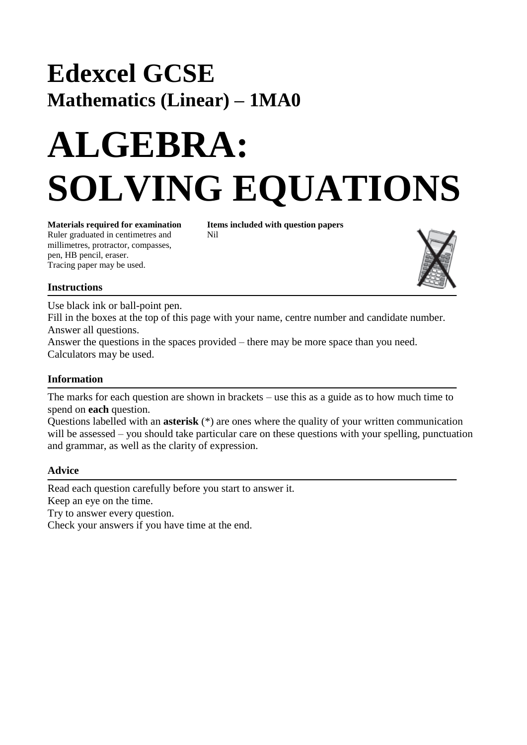## **Edexcel GCSE Mathematics (Linear) – 1MA0**

# **ALGEBRA: SOLVING EQUATIONS**

Ruler graduated in centimetres and Nil millimetres, protractor, compasses, pen, HB pencil, eraser. Tracing paper may be used.

**Materials required for examination Items included with question papers**



#### **Instructions**

Use black ink or ball-point pen.

Fill in the boxes at the top of this page with your name, centre number and candidate number. Answer all questions.

Answer the questions in the spaces provided – there may be more space than you need. Calculators may be used.

#### **Information**

The marks for each question are shown in brackets – use this as a guide as to how much time to spend on **each** question.

Questions labelled with an **asterisk** (\*) are ones where the quality of your written communication will be assessed – you should take particular care on these questions with your spelling, punctuation and grammar, as well as the clarity of expression.

#### **Advice**

Read each question carefully before you start to answer it. Keep an eye on the time.

Try to answer every question.

Check your answers if you have time at the end.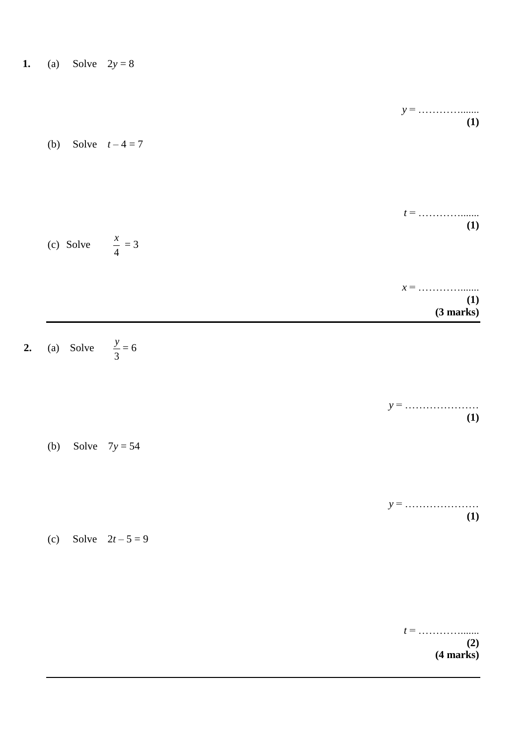| 1. | (a) | Solve | $2y=8$ |
|----|-----|-------|--------|
|    |     |       |        |

 $2.$ 

| $t =$<br>(1)              |
|---------------------------|
| $x =$<br>(1)<br>(3 marks) |
|                           |
| (1)                       |
|                           |
| (1)                       |
|                           |
|                           |

*t* = …………....... **(2) (4 marks)**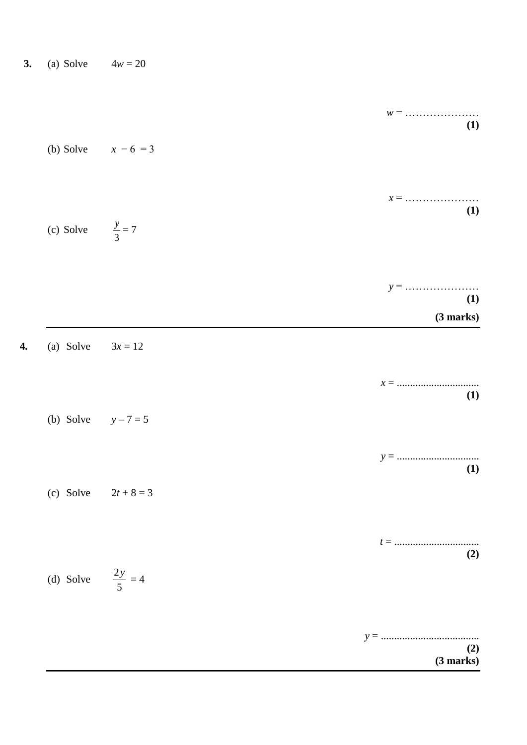| 3. | (a) Solve | $4w = 20$ |
|----|-----------|-----------|
|    |           |           |

| $w =$            |                              |
|------------------|------------------------------|
| (1)              | (b) Solve $x - 6 = 3$        |
|                  |                              |
| $x =$            |                              |
| (1)              | (c) Solve $\frac{y}{3} = 7$  |
|                  |                              |
| (1)<br>(3 marks) |                              |
|                  | (a) Solve $3x = 12$          |
| $x =$<br>(1)     |                              |
|                  | (b) Solve $y - 7 = 5$        |
| (1)              |                              |
|                  | (c) Solve $2t + 8 = 3$       |
|                  |                              |
| (2)              | (d) Solve $\frac{2y}{5} = 4$ |
|                  |                              |
| (2)<br>(3 marks) |                              |

 $\overline{4}$ .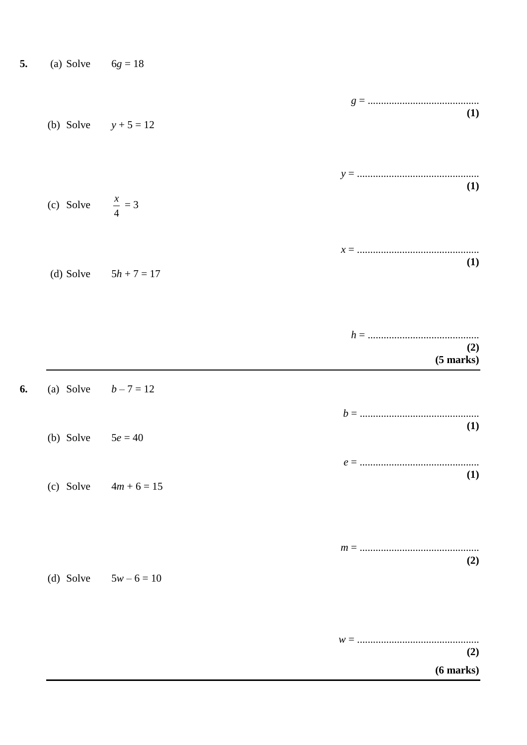| 5. | (a) Solve | $6g = 18$ |
|----|-----------|-----------|
|    |           |           |

6.

| (b) Solve $y + 5 = 12$      |                         | (1)                        |
|-----------------------------|-------------------------|----------------------------|
| (c) Solve $\frac{x}{4} = 3$ |                         | (1)                        |
|                             | (d) Solve $5h + 7 = 17$ | (1)                        |
|                             |                         | (2)<br>$(5 \text{ marks})$ |
| (a) Solve $b-7 = 12$        |                         |                            |
| (b) Solve $5e = 40$         |                         | (1)                        |
|                             | (c) Solve $4m + 6 = 15$ | (1)                        |
| (d) Solve                   | $5w - 6 = 10$           | (2)                        |
|                             |                         | (2)                        |

 $(6 \text{ marks})$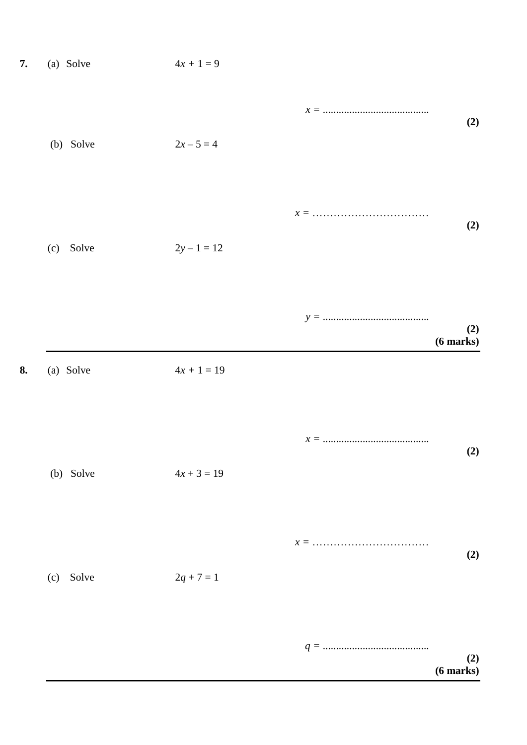| 7. | (a) Solve | $4x+1=9$      |                       |
|----|-----------|---------------|-----------------------|
|    | (b) Solve | $2x - 5 = 4$  | (2)                   |
|    | (c) Solve | $2y - 1 = 12$ | (2)                   |
| 8. | (a) Solve | $4x + 1 = 19$ | (2)<br>$(6$ marks $)$ |
|    |           |               |                       |
|    | (b) Solve | $4x + 3 = 19$ | (2)                   |
|    | (c) Solve | $2q + 7 = 1$  | (2)                   |
|    |           |               | (2)<br>$(6$ marks $)$ |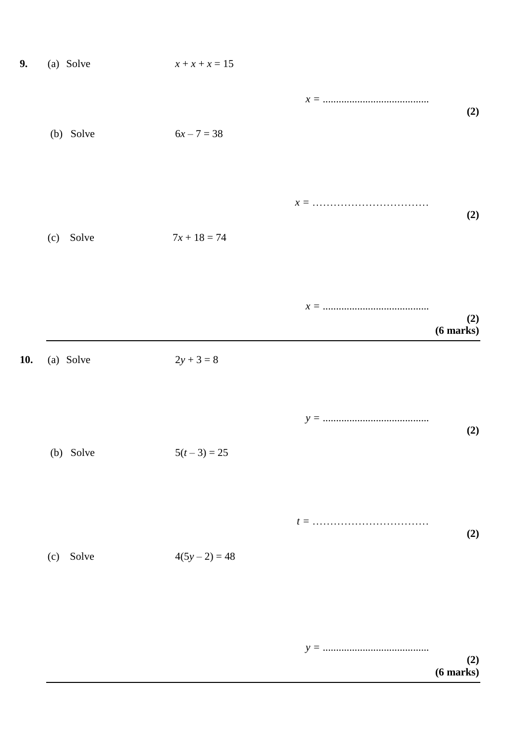| 9.  | (a) Solve    | $x + x + x = 15$ |                            |
|-----|--------------|------------------|----------------------------|
|     | (b) Solve    | $6x - 7 = 38$    | (2)                        |
|     | (c) Solve    | $7x + 18 = 74$   | (2)                        |
|     |              |                  | (2)<br>$(6 \text{ marks})$ |
| 10. | (a) Solve    | $2y + 3 = 8$     |                            |
|     | (b) Solve    | $5(t-3) = 25$    | (2)                        |
|     | Solve<br>(c) | $4(5y-2) = 48$   | (2)                        |
|     |              |                  | (2)<br>$(6$ marks $)$      |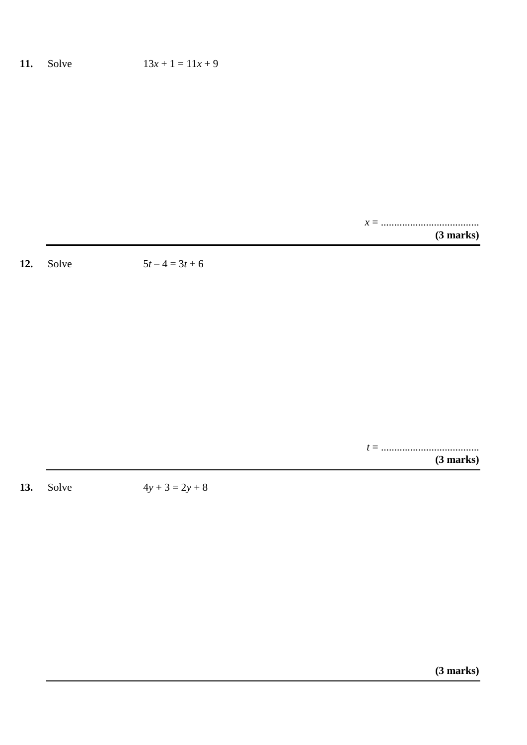### **11.** Solve  $13x + 1 = 11x + 9$

*x* = .....................................

**(3 marks)**

**12.** Solve  $5t - 4 = 3t + 6$ 

*t* = ..................................... **(3 marks)**

**13.** Solve  $4y + 3 = 2y + 8$ 

**(3 marks)**